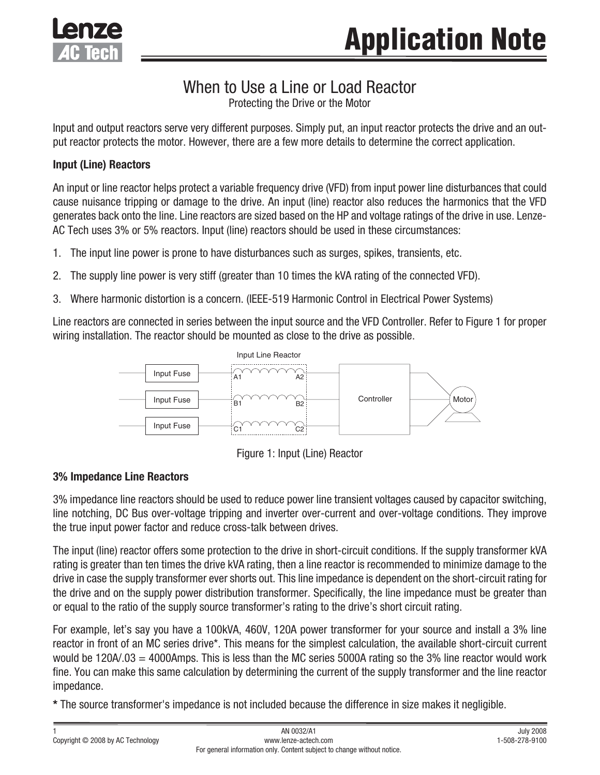

# When to Use a Line or Load Reactor

Protecting the Drive or the Motor

Input and output reactors serve very different purposes. Simply put, an input reactor protects the drive and an output reactor protects the motor. However, there are a few more details to determine the correct application.

### **Input (Line) Reactors**

An input or line reactor helps protect a variable frequency drive (VFD) from input power line disturbances that could cause nuisance tripping or damage to the drive. An input (line) reactor also reduces the harmonics that the VFD generates back onto the line. Line reactors are sized based on the HP and voltage ratings of the drive in use. Lenze-AC Tech uses 3% or 5% reactors. Input (line) reactors should be used in these circumstances:

- 1. The input line power is prone to have disturbances such as surges, spikes, transients, etc.
- The supply line power is very stiff (greater than 10 times the kVA rating of the connected VFD). 2.
- Where harmonic distortion is a concern. (IEEE-519 Harmonic Control in Electrical Power Systems) 3.

Line reactors are connected in series between the input source and the VFD Controller. Refer to Figure 1 for proper wiring installation. The reactor should be mounted as close to the drive as possible.



Figure 1: Input (Line) Reactor

#### **3% Impedance Line Reactors**

3% impedance line reactors should be used to reduce power line transient voltages caused by capacitor switching, line notching, DC Bus over-voltage tripping and inverter over-current and over-voltage conditions. They improve the true input power factor and reduce cross-talk between drives.

The input (line) reactor offers some protection to the drive in short-circuit conditions. If the supply transformer kVA rating is greater than ten times the drive kVA rating, then a line reactor is recommended to minimize damage to the drive in case the supply transformer ever shorts out. This line impedance is dependent on the short-circuit rating for the drive and on the supply power distribution transformer. Specifically, the line impedance must be greater than or equal to the ratio of the supply source transformer's rating to the drive's short circuit rating.

For example, let's say you have a 100kVA, 460V, 120A power transformer for your source and install a 3% line reactor in front of an MC series drive\*. This means for the simplest calculation, the available short-circuit current would be 120A/.03 = 4000Amps. This is less than the MC series 5000A rating so the 3% line reactor would work fine. You can make this same calculation by determining the current of the supply transformer and the line reactor impedance.

**\*** The source transformer's impedance is not included because the difference in size makes it negligible.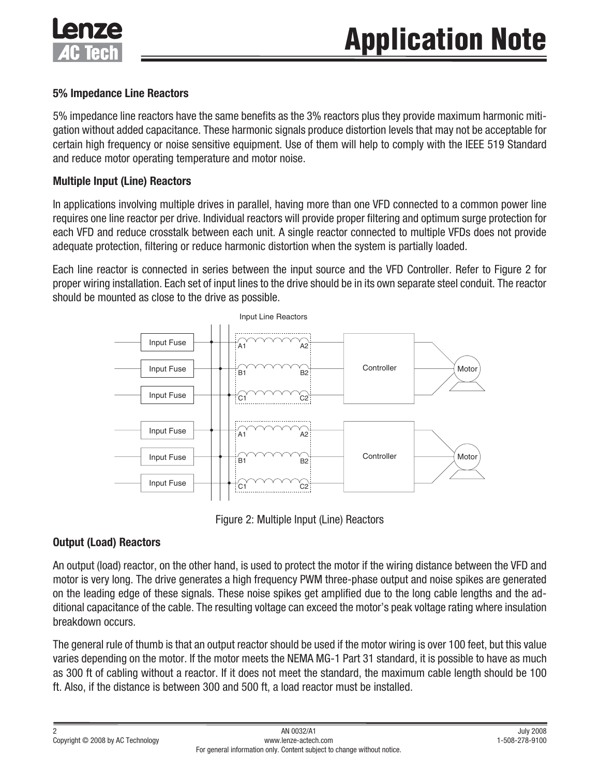

### **5% Impedance Line Reactors**

5% impedance line reactors have the same benefits as the 3% reactors plus they provide maximum harmonic mitigation without added capacitance. These harmonic signals produce distortion levels that may not be acceptable for certain high frequency or noise sensitive equipment. Use of them will help to comply with the IEEE 519 Standard and reduce motor operating temperature and motor noise.

## **Multiple Input (Line) Reactors**

In applications involving multiple drives in parallel, having more than one VFD connected to a common power line requires one line reactor per drive. Individual reactors will provide proper filtering and optimum surge protection for each VFD and reduce crosstalk between each unit. A single reactor connected to multiple VFDs does not provide adequate protection, filtering or reduce harmonic distortion when the system is partially loaded.

Each line reactor is connected in series between the input source and the VFD Controller. Refer to Figure 2 for proper wiring installation. Each set of input lines to the drive should be in its own separate steel conduit. The reactor should be mounted as close to the drive as possible.



Figure 2: Multiple Input (Line) Reactors

## **Output (Load) Reactors**

An output (load) reactor, on the other hand, is used to protect the motor if the wiring distance between the VFD and motor is very long. The drive generates a high frequency PWM three-phase output and noise spikes are generated on the leading edge of these signals. These noise spikes get amplified due to the long cable lengths and the additional capacitance of the cable. The resulting voltage can exceed the motor's peak voltage rating where insulation breakdown occurs.

The general rule of thumb is that an output reactor should be used if the motor wiring is over 100 feet, but this value varies depending on the motor. If the motor meets the NEMA MG-1 Part 31 standard, it is possible to have as much as 300 ft of cabling without a reactor. If it does not meet the standard, the maximum cable length should be 100 ft. Also, if the distance is between 300 and 500 ft, a load reactor must be installed.